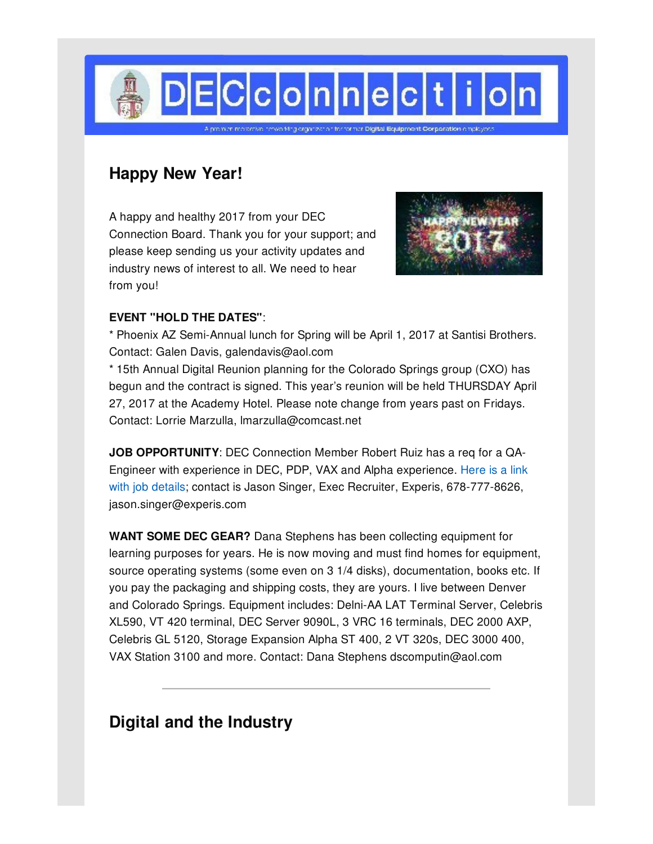

## **Happy New Year!**

A happy and healthy 2017 from your DEC Connection Board. Thank you for your support; and please keep sending us your activity updates and industry news of interest to all. We need to hear from you!



### **EVENT "HOLD THE DATES"**:

\* Phoenix AZ Semi-Annual lunch for Spring will be April 1, 2017 at Santisi Brothers. Contact: Galen Davis, galendavis@aol.com

\* 15th Annual Digital Reunion planning for the Colorado Springs group (CXO) has begun and the contract is signed. This year's reunion will be held THURSDAY April 27, 2017 at the Academy Hotel. Please note change from years past on Fridays. Contact: Lorrie Marzulla, lmarzulla@comcast.net

**JOB OPPORTUNITY**: DEC Connection Member Robert Ruiz has a req for a QA-Engineer with experience in DEC, PDP, VAX and Alpha experience. Here is a link with job details; contact is Jason Singer, Exec Recruiter, Experis, [678-777-8626,](http://decconnection.org/documents/QAEngineerPositionfromRobertRuiz-12Dec16.pdf) jason.singer@experis.com

**WANT SOME DEC GEAR?** Dana Stephens has been collecting equipment for learning purposes for years. He is now moving and must find homes for equipment, source operating systems (some even on 3 1/4 disks), documentation, books etc. If you pay the packaging and shipping costs, they are yours. I live between Denver and Colorado Springs. Equipment includes: Delni-AA LAT Terminal Server, Celebris XL590, VT 420 terminal, DEC Server 9090L, 3 VRC 16 terminals, DEC 2000 AXP, Celebris GL 5120, Storage Expansion Alpha ST 400, 2 VT 320s, DEC 3000 400, VAX Station 3100 and more. Contact: Dana Stephens dscomputin@aol.com

## **Digital and the Industry**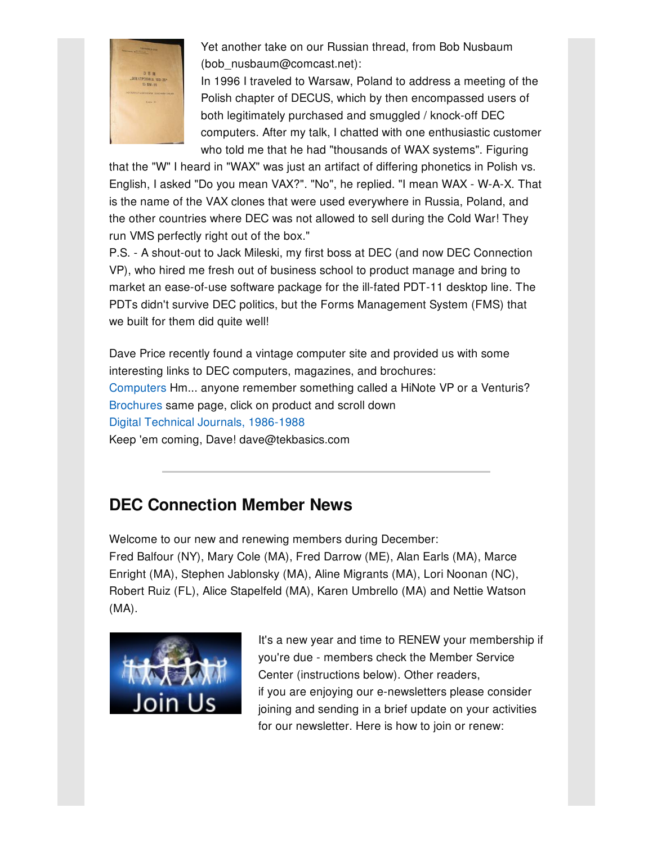

Yet another take on our Russian thread, from Bob Nusbaum (bob\_nusbaum@comcast.net):

In 1996 I traveled to Warsaw, Poland to address a meeting of the Polish chapter of DECUS, which by then encompassed users of both legitimately purchased and smuggled / knock-off DEC computers. After my talk, I chatted with one enthusiastic customer who told me that he had "thousands of WAX systems". Figuring

that the "W" I heard in "WAX" was just an artifact of differing phonetics in Polish vs. English, I asked "Do you mean VAX?". "No", he replied. "I mean WAX - W-A-X. That is the name of the VAX clones that were used everywhere in Russia, Poland, and the other countries where DEC was not allowed to sell during the Cold War! They run VMS perfectly right out of the box."

P.S. - A shout-out to Jack Mileski, my first boss at DEC (and now DEC Connection VP), who hired me fresh out of business school to product manage and bring to market an ease-of-use software package for the ill-fated PDT-11 desktop line. The PDTs didn't survive DEC politics, but the Forms Management System (FMS) that we built for them did quite well!

Dave Price recently found a vintage computer site and provided us with some interesting links to DEC computers, magazines, and brochures: [Computers](http://www.1000bit.it/database2.asp?id=13&grp=S_NOM) Hm... anyone remember something called a HiNote VP or a Venturis? [Brochures](http://www.1000bit.it/database2.asp?id=13&grp=S_NOM) same page, click on product and scroll down Digital Technical Journals, [1986-1988](http://www.1000bit.it/support/riviste/rivista.asp?id=70) Keep 'em coming, Dave! dave@tekbasics.com

# **DEC Connection Member News**

Welcome to our new and renewing members during December: Fred Balfour (NY), Mary Cole (MA), Fred Darrow (ME), Alan Earls (MA), Marce Enright (MA), Stephen Jablonsky (MA), Aline Migrants (MA), Lori Noonan (NC), Robert Ruiz (FL), Alice Stapelfeld (MA), Karen Umbrello (MA) and Nettie Watson (MA).



It's a new year and time to RENEW your membership if you're due - members check the Member Service Center (instructions below). Other readers, if you are enjoying our e-newsletters please consider joining and sending in a brief update on your activities for our newsletter. Here is how to join or renew: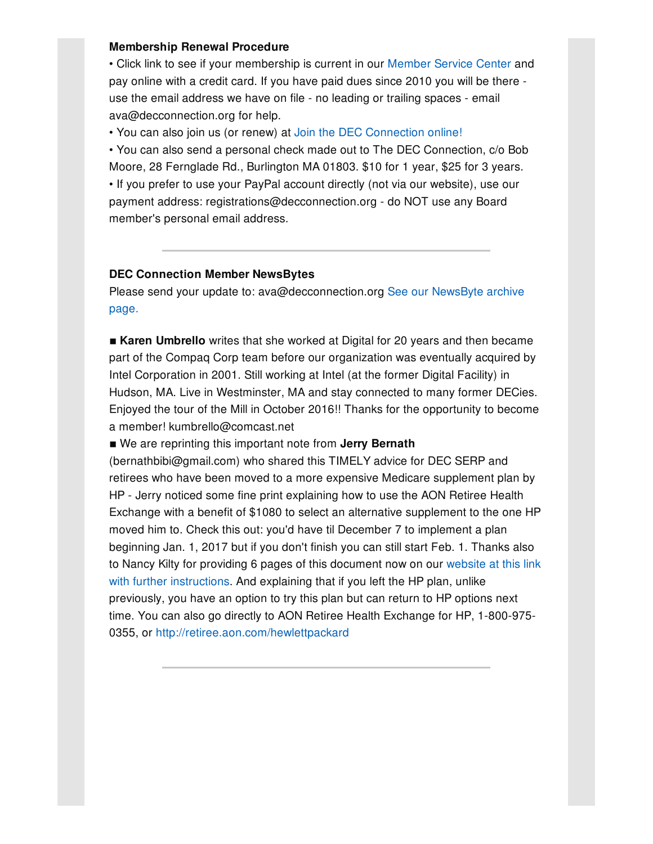#### **Membership Renewal Procedure**

• Click link to see if your membership is current in our [Member](http://www.decconnection.org/msclogin.php) Service Center and pay online with a credit card. If you have paid dues since 2010 you will be there use the email address we have on file - no leading or trailing spaces - email ava@decconnection.org for help.

• You can also join us (or renew) at Join the DEC [Connection](http://www.decconnection.org/join-online.htm) online!

• You can also send a personal check made out to The DEC Connection, c/o Bob Moore, 28 Fernglade Rd., Burlington MA 01803. \$10 for 1 year, \$25 for 3 years. • If you prefer to use your PayPal account directly (not via our website), use our payment address: registrations@decconnection.org - do NOT use any Board member's personal email address.

#### **DEC Connection Member NewsBytes**

Please send your update to: [ava@decconnection.org](http://www.decconnection.org/newsbytes.htm) See our NewsByte archive page.

**Karen Umbrello** writes that she worked at Digital for 20 years and then became part of the Compaq Corp team before our organization was eventually acquired by Intel Corporation in 2001. Still working at Intel (at the former Digital Facility) in Hudson, MA. Live in Westminster, MA and stay connected to many former DECies. Enjoyed the tour of the Mill in October 2016!! Thanks for the opportunity to become a member! kumbrello@comcast.net

■ We are reprinting this important note from **Jerry Bernath** 

(bernathbibi@gmail.com) who shared this TIMELY advice for DEC SERP and retirees who have been moved to a more expensive Medicare supplement plan by HP - Jerry noticed some fine print explaining how to use the AON Retiree Health Exchange with a benefit of \$1080 to select an alternative supplement to the one HP moved him to. Check this out: you'd have til December 7 to implement a plan beginning Jan. 1, 2017 but if you don't finish you can still start Feb. 1. Thanks also to Nancy Kilty for providing 6 pages of this document now on our website at this link with further [instructions.](http://www.decconnection.org/HP_2017_Retiree_Medical_Enrollment.pdf) And explaining that if you left the HP plan, unlike previously, you have an option to try this plan but can return to HP options next time. You can also go directly to AON Retiree Health Exchange for HP, 1-800-975- 0355, or <http://retiree.aon.com/hewlettpackard>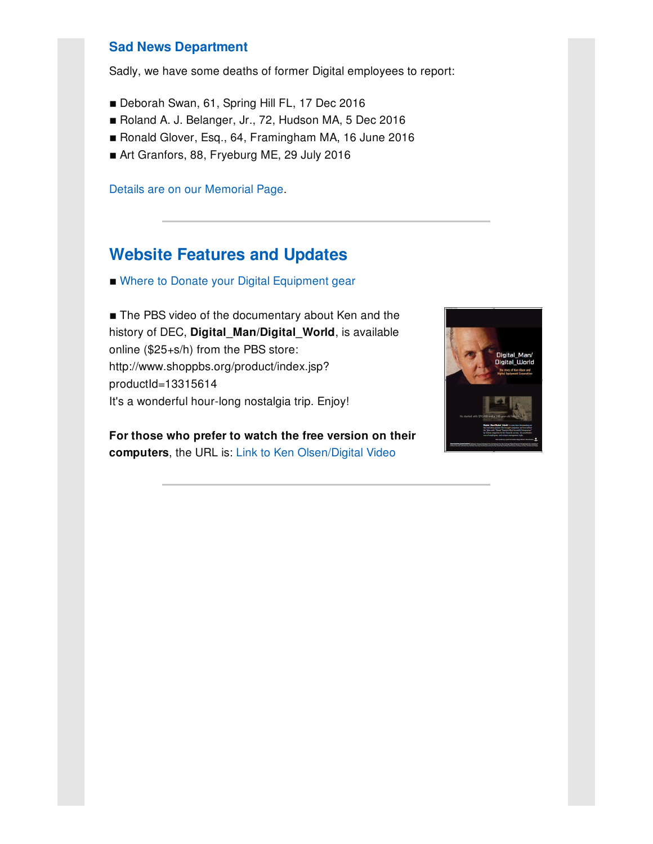### **Sad News Department**

Sadly, we have some deaths of former Digital employees to report:

- **Deborah Swan, 61, Spring Hill FL, 17 Dec 2016**
- Roland A. J. Belanger, Jr., 72, Hudson MA, 5 Dec 2016
- Ronald Glover, Esq., 64, Framingham MA, 16 June 2016
- Art Granfors, 88, Fryeburg ME, 29 July 2016

Details are on our [Memorial](http://www.decconnection.org/memorials.htm) Page.

### **Website [Features](http://www.decconnection.org) and Updates**

■ Where to Donate your Digital [Equipment](http://www.decconnection.org/DECdonations.htm) gear

■ The PBS video of the documentary about Ken and the history of DEC, **Digital\_Man/Digital\_World**, is available online (\$25+s/h) from the PBS store: http://www.shoppbs.org/product/index.jsp? productId=13315614 It's a wonderful hour-long nostalgia trip. Enjoy!

**For those who prefer to watch the free version on their computers**, the URL is: Link to Ken [Olsen/Digital](http://video.wfyi.org/video/2282149336/) Video